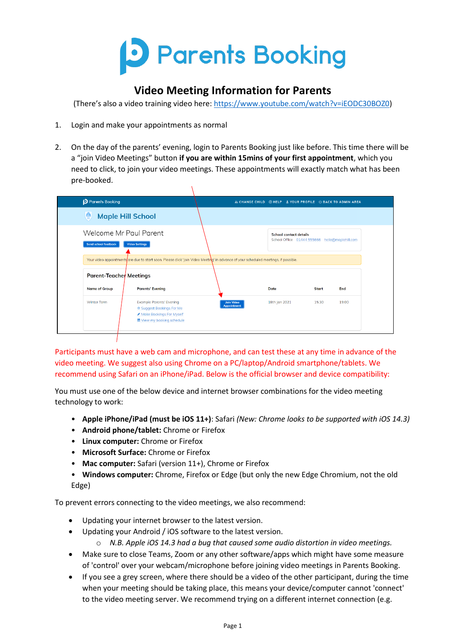

# **Video Meeting Information for Parents**

(There's also a video training video here: [https://www.youtube.com/watch?v=iEODC30BOZ0\)](https://www.youtube.com/watch?v=iEODC30BOZ0)

- 1. Login and make your appointments as normal
- 2. On the day of the parents' evening, login to Parents Booking just like before. This time there will be a "join Video Meetings" button **if you are within 15mins of your first appointment**, which you need to click, to join your video meetings. These appointments will exactly match what has been pre-booked.

 $\lambda$ 

| Parents Booking                                                                                                                              |                                         | LE CHANGE CHILD @ HELP L YOUR PROFILE U BACK TO ADMIN AREA                      |              |       |
|----------------------------------------------------------------------------------------------------------------------------------------------|-----------------------------------------|---------------------------------------------------------------------------------|--------------|-------|
| 囄<br><b>Maple Hill School</b>                                                                                                                |                                         |                                                                                 |              |       |
| Welcome Mr Paul Parent<br><b>Send school feedback</b><br><b>Video Settings</b>                                                               |                                         | <b>School contact details</b><br>School Office 01444 555666 hello@maplehill.com |              |       |
| Your video appointments are due to start soon. Please click 'join Video Meeting' in advance of your scheduled meetings, if possible.         |                                         |                                                                                 |              |       |
| Parent-Teacher Meetings                                                                                                                      |                                         |                                                                                 |              |       |
| <b>Name of Group</b><br><b>Parents' Evening</b>                                                                                              |                                         | Date                                                                            | <b>Start</b> | End   |
| <b>Winter Term</b><br><b>Example Parents' Evening</b><br>☆ Suggest Bookings For Me<br>Make Bookings For Myself<br>■ View my booking schedule | <b>Join Video</b><br><b>Appointment</b> | 18th Jan 2021                                                                   | 15:30        | 19:00 |

Participants must have a web cam and microphone, and can test these at any time in advance of the video meeting. We suggest also using Chrome on a PC/laptop/Android smartphone/tablets. We recommend using Safari on an iPhone/iPad. Below is the official browser and device compatibility:

You must use one of the below device and internet browser combinations for the video meeting technology to work:

- **Apple iPhone/iPad (must be iOS 11+)**: Safari *(New: Chrome looks to be supported with iOS 14.3)*
- **Android phone/tablet:** Chrome or Firefox
- **Linux computer:** Chrome or Firefox
- **Microsoft Surface:** Chrome or Firefox
- **Mac computer:** Safari (version 11+), Chrome or Firefox
- **Windows computer:** Chrome, Firefox or Edge (but only the new Edge Chromium, not the old Edge)

To prevent errors connecting to the video meetings, we also recommend:

- Updating your internet browser to the latest version.
- Updating your Android / iOS software to the latest version.
	- o *N.B. Apple iOS 14.3 had a bug that caused some audio distortion in video meetings.*
- Make sure to close Teams, Zoom or any other software/apps which might have some measure of 'control' over your webcam/microphone before joining video meetings in Parents Booking.
- If you see a grey screen, where there should be a video of the other participant, during the time when your meeting should be taking place, this means your device/computer cannot 'connect' to the video meeting server. We recommend trying on a different internet connection (e.g.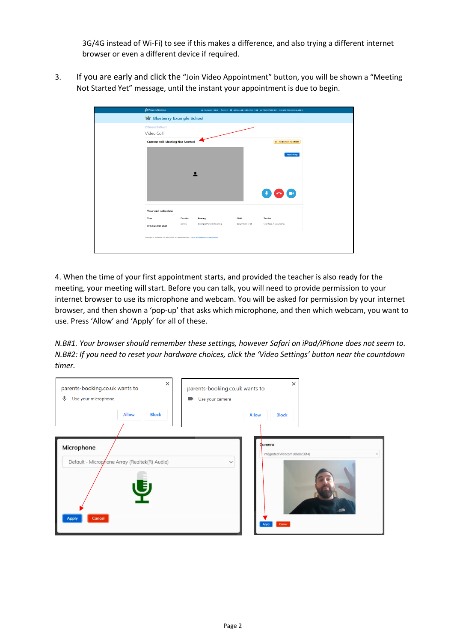3G/4G instead of Wi-Fi) to see if this makes a difference, and also trying a different internet browser or even a different device if required.

3. If you are early and click the "Join Video Appointment" button, you will be shown a "Meeting Not Started Yet" message, until the instant your appointment is due to begin.

| Parents Booking                          |                                                                                                |                 | A CHANGE CHILD OHELP @ LANGUAGE: ENGLISH (UK) & YOUR PROFILE O BACK TO ADMIN AREA |
|------------------------------------------|------------------------------------------------------------------------------------------------|-----------------|-----------------------------------------------------------------------------------|
| <b>Nor Blueberry Example School</b>      |                                                                                                |                 |                                                                                   |
| * Return to Dashboord                    |                                                                                                |                 |                                                                                   |
| Video Call                               |                                                                                                |                 |                                                                                   |
| <b>Current call: Meeting Not Started</b> |                                                                                                |                 | Time Remaining: 00:00                                                             |
|                                          |                                                                                                |                 | Moo Settings<br>$\bullet$                                                         |
| Your call schedule                       |                                                                                                |                 |                                                                                   |
| Time                                     | Duration<br>Evening                                                                            | Child           | Teacher                                                                           |
| 30th Sep 2020 19:20                      | 2 mins<br><b>Example Porents' Evening</b>                                                      | Colum Smith, S6 | Mrs Ross, Accountancy                                                             |
|                                          | Copyright # Netmedia Ltd 2009-2020. All rights reserved.   Terms & Conditions   Privacy Palicy |                 |                                                                                   |

4. When the time of your first appointment starts, and provided the teacher is also ready for the meeting, your meeting will start. Before you can talk, you will need to provide permission to your internet browser to use its microphone and webcam. You will be asked for permission by your internet browser, and then shown a 'pop-up' that asks which microphone, and then which webcam, you want to use. Press 'Allow' and 'Apply' for all of these.

*N.B#1. Your browser should remember these settings, however Safari on iPad/iPhone does not seem to. N.B#2: If you need to reset your hardware choices, click the 'Video Settings' button near the countdown timer.*

| $\times$<br>parents-booking.co.uk wants to<br>♦<br>Use your microphone<br><b>Allow</b><br><b>Block</b> | parents-booking.co.uk wants to<br>Use your camera<br>$\blacksquare$ | $\times$<br><b>Allow</b><br><b>Block</b>                                                 |
|--------------------------------------------------------------------------------------------------------|---------------------------------------------------------------------|------------------------------------------------------------------------------------------|
| Microphone<br>Default - Microphone Array (Realtek(R) Audio)<br><b>Cancel</b><br><b>Apply</b>           | $\checkmark$                                                        | Camera<br>Integrated Webcam (Obda:58f4)<br>$\checkmark$<br><b>Cancel</b><br><b>Apply</b> |